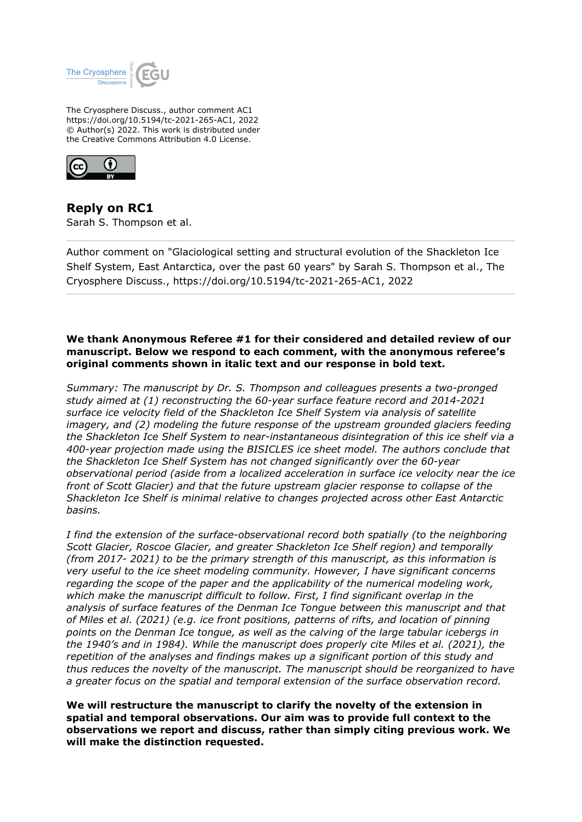

The Cryosphere Discuss., author comment AC1 https://doi.org/10.5194/tc-2021-265-AC1, 2022 © Author(s) 2022. This work is distributed under the Creative Commons Attribution 4.0 License.



**Reply on RC1** Sarah S. Thompson et al.

Author comment on "Glaciological setting and structural evolution of the Shackleton Ice Shelf System, East Antarctica, over the past 60 years" by Sarah S. Thompson et al., The Cryosphere Discuss., https://doi.org/10.5194/tc-2021-265-AC1, 2022

# **We thank Anonymous Referee #1 for their considered and detailed review of our manuscript. Below we respond to each comment, with the anonymous referee's original comments shown in italic text and our response in bold text.**

*Summary: The manuscript by Dr. S. Thompson and colleagues presents a two-pronged study aimed at (1) reconstructing the 60-year surface feature record and 2014-2021 surface ice velocity field of the Shackleton Ice Shelf System via analysis of satellite imagery, and (2) modeling the future response of the upstream grounded glaciers feeding the Shackleton Ice Shelf System to near-instantaneous disintegration of this ice shelf via a 400-year projection made using the BISICLES ice sheet model. The authors conclude that the Shackleton Ice Shelf System has not changed significantly over the 60-year observational period (aside from a localized acceleration in surface ice velocity near the ice front of Scott Glacier) and that the future upstream glacier response to collapse of the Shackleton Ice Shelf is minimal relative to changes projected across other East Antarctic basins.*

*I find the extension of the surface-observational record both spatially (to the neighboring Scott Glacier, Roscoe Glacier, and greater Shackleton Ice Shelf region) and temporally (from 2017- 2021) to be the primary strength of this manuscript, as this information is very useful to the ice sheet modeling community. However, I have significant concerns regarding the scope of the paper and the applicability of the numerical modeling work, which make the manuscript difficult to follow. First, I find significant overlap in the analysis of surface features of the Denman Ice Tongue between this manuscript and that of Miles et al. (2021) (e.g. ice front positions, patterns of rifts, and location of pinning points on the Denman Ice tongue, as well as the calving of the large tabular icebergs in the 1940's and in 1984). While the manuscript does properly cite Miles et al. (2021), the repetition of the analyses and findings makes up a significant portion of this study and thus reduces the novelty of the manuscript. The manuscript should be reorganized to have a greater focus on the spatial and temporal extension of the surface observation record.*

**We will restructure the manuscript to clarify the novelty of the extension in spatial and temporal observations. Our aim was to provide full context to the observations we report and discuss, rather than simply citing previous work. We will make the distinction requested.**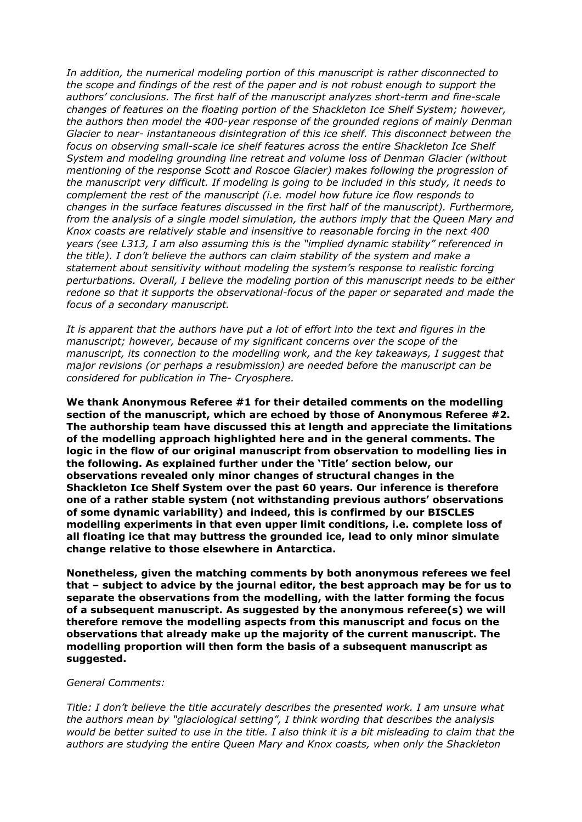*In addition, the numerical modeling portion of this manuscript is rather disconnected to the scope and findings of the rest of the paper and is not robust enough to support the authors' conclusions. The first half of the manuscript analyzes short-term and fine-scale changes of features on the floating portion of the Shackleton Ice Shelf System; however, the authors then model the 400-year response of the grounded regions of mainly Denman Glacier to near- instantaneous disintegration of this ice shelf. This disconnect between the focus on observing small-scale ice shelf features across the entire Shackleton Ice Shelf System and modeling grounding line retreat and volume loss of Denman Glacier (without mentioning of the response Scott and Roscoe Glacier) makes following the progression of the manuscript very difficult. If modeling is going to be included in this study, it needs to complement the rest of the manuscript (i.e. model how future ice flow responds to changes in the surface features discussed in the first half of the manuscript). Furthermore, from the analysis of a single model simulation, the authors imply that the Queen Mary and Knox coasts are relatively stable and insensitive to reasonable forcing in the next 400 years (see L313, I am also assuming this is the "implied dynamic stability" referenced in the title). I don't believe the authors can claim stability of the system and make a statement about sensitivity without modeling the system's response to realistic forcing perturbations. Overall, I believe the modeling portion of this manuscript needs to be either redone so that it supports the observational-focus of the paper or separated and made the focus of a secondary manuscript.*

*It is apparent that the authors have put a lot of effort into the text and figures in the manuscript; however, because of my significant concerns over the scope of the manuscript, its connection to the modelling work, and the key takeaways, I suggest that major revisions (or perhaps a resubmission) are needed before the manuscript can be considered for publication in The- Cryosphere.*

**We thank Anonymous Referee #1 for their detailed comments on the modelling section of the manuscript, which are echoed by those of Anonymous Referee #2. The authorship team have discussed this at length and appreciate the limitations of the modelling approach highlighted here and in the general comments. The logic in the flow of our original manuscript from observation to modelling lies in the following. As explained further under the 'Title' section below, our observations revealed only minor changes of structural changes in the Shackleton Ice Shelf System over the past 60 years. Our inference is therefore one of a rather stable system (not withstanding previous authors' observations of some dynamic variability) and indeed, this is confirmed by our BISCLES modelling experiments in that even upper limit conditions, i.e. complete loss of all floating ice that may buttress the grounded ice, lead to only minor simulate change relative to those elsewhere in Antarctica.**

**Nonetheless, given the matching comments by both anonymous referees we feel that – subject to advice by the journal editor, the best approach may be for us to separate the observations from the modelling, with the latter forming the focus of a subsequent manuscript. As suggested by the anonymous referee(s) we will therefore remove the modelling aspects from this manuscript and focus on the observations that already make up the majority of the current manuscript. The modelling proportion will then form the basis of a subsequent manuscript as suggested.**

### *General Comments:*

*Title: I don't believe the title accurately describes the presented work. I am unsure what the authors mean by "glaciological setting", I think wording that describes the analysis would be better suited to use in the title. I also think it is a bit misleading to claim that the authors are studying the entire Queen Mary and Knox coasts, when only the Shackleton*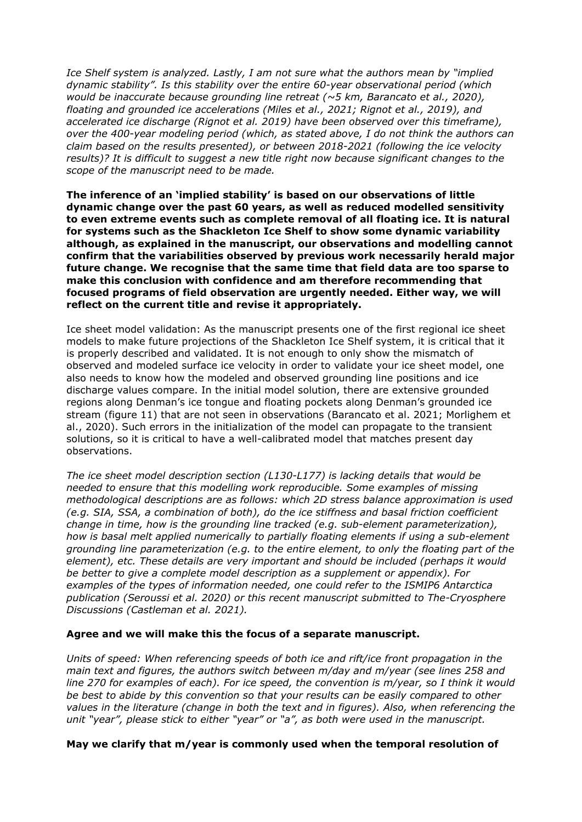*Ice Shelf system is analyzed. Lastly, I am not sure what the authors mean by "implied dynamic stability". Is this stability over the entire 60-year observational period (which would be inaccurate because grounding line retreat (~5 km, Barancato et al., 2020), floating and grounded ice accelerations (Miles et al., 2021; Rignot et al., 2019), and accelerated ice discharge (Rignot et al. 2019) have been observed over this timeframe), over the 400-year modeling period (which, as stated above, I do not think the authors can claim based on the results presented), or between 2018-2021 (following the ice velocity results)? It is difficult to suggest a new title right now because significant changes to the scope of the manuscript need to be made.*

**The inference of an 'implied stability' is based on our observations of little dynamic change over the past 60 years, as well as reduced modelled sensitivity to even extreme events such as complete removal of all floating ice. It is natural for systems such as the Shackleton Ice Shelf to show some dynamic variability although, as explained in the manuscript, our observations and modelling cannot confirm that the variabilities observed by previous work necessarily herald major future change. We recognise that the same time that field data are too sparse to make this conclusion with confidence and am therefore recommending that focused programs of field observation are urgently needed. Either way, we will reflect on the current title and revise it appropriately.**

Ice sheet model validation: As the manuscript presents one of the first regional ice sheet models to make future projections of the Shackleton Ice Shelf system, it is critical that it is properly described and validated. It is not enough to only show the mismatch of observed and modeled surface ice velocity in order to validate your ice sheet model, one also needs to know how the modeled and observed grounding line positions and ice discharge values compare. In the initial model solution, there are extensive grounded regions along Denman's ice tongue and floating pockets along Denman's grounded ice stream (figure 11) that are not seen in observations (Barancato et al. 2021; Morlighem et al., 2020). Such errors in the initialization of the model can propagate to the transient solutions, so it is critical to have a well-calibrated model that matches present day observations.

*The ice sheet model description section (L130-L177) is lacking details that would be needed to ensure that this modelling work reproducible. Some examples of missing methodological descriptions are as follows: which 2D stress balance approximation is used (e.g. SIA, SSA, a combination of both), do the ice stiffness and basal friction coefficient change in time, how is the grounding line tracked (e.g. sub-element parameterization), how is basal melt applied numerically to partially floating elements if using a sub-element grounding line parameterization (e.g. to the entire element, to only the floating part of the element), etc. These details are very important and should be included (perhaps it would be better to give a complete model description as a supplement or appendix). For examples of the types of information needed, one could refer to the ISMIP6 Antarctica publication (Seroussi et al. 2020) or this recent manuscript submitted to The-Cryosphere Discussions (Castleman et al. 2021).*

## **Agree and we will make this the focus of a separate manuscript.**

*Units of speed: When referencing speeds of both ice and rift/ice front propagation in the main text and figures, the authors switch between m/day and m/year (see lines 258 and line 270 for examples of each). For ice speed, the convention is m/year, so I think it would be best to abide by this convention so that your results can be easily compared to other values in the literature (change in both the text and in figures). Also, when referencing the unit "year", please stick to either "year" or "a", as both were used in the manuscript.*

## **May we clarify that m/year is commonly used when the temporal resolution of**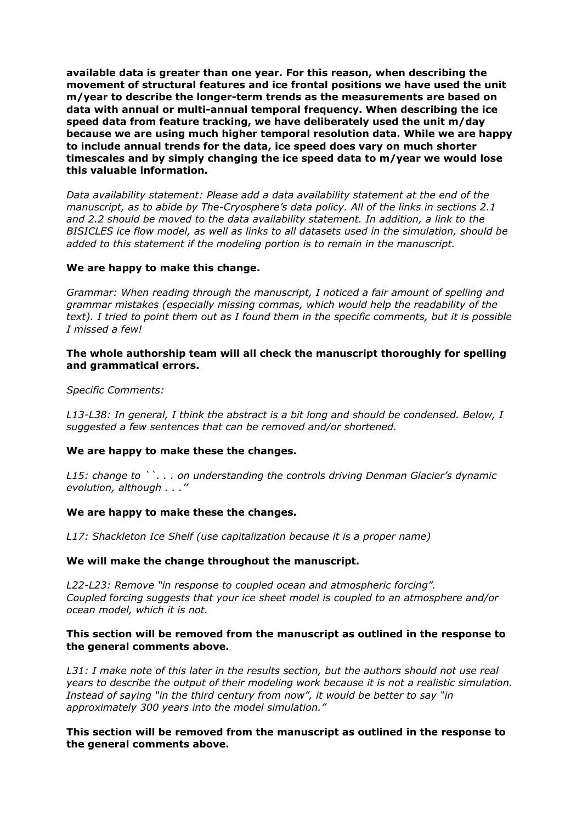**available data is greater than one year. For this reason, when describing the movement of structural features and ice frontal positions we have used the unit m/year to describe the longer-term trends as the measurements are based on data with annual or multi-annual temporal frequency. When describing the ice speed data from feature tracking, we have deliberately used the unit m/day because we are using much higher temporal resolution data. While we are happy to include annual trends for the data, ice speed does vary on much shorter timescales and by simply changing the ice speed data to m/year we would lose this valuable information.**

*Data availability statement: Please add a data availability statement at the end of the manuscript, as to abide by The-Cryosphere's data policy. All of the links in sections 2.1 and 2.2 should be moved to the data availability statement. In addition, a link to the BISICLES ice flow model, as well as links to all datasets used in the simulation, should be added to this statement if the modeling portion is to remain in the manuscript.*

## **We are happy to make this change.**

*Grammar: When reading through the manuscript, I noticed a fair amount of spelling and grammar mistakes (especially missing commas, which would help the readability of the text). I tried to point them out as I found them in the specific comments, but it is possible I missed a few!*

## **The whole authorship team will all check the manuscript thoroughly for spelling and grammatical errors.**

#### *Specific Comments:*

*L13-L38: In general, I think the abstract is a bit long and should be condensed. Below, I suggested a few sentences that can be removed and/or shortened.*

## **We are happy to make these the changes.**

*L15: change to ``. . . on understanding the controls driving Denman Glacier's dynamic evolution, although . . .''*

#### **We are happy to make these the changes.**

*L17: Shackleton Ice Shelf (use capitalization because it is a proper name)*

#### **We will make the change throughout the manuscript.**

*L22-L23: Remove "in response to coupled ocean and atmospheric forcing". Coupled* f*orcing suggests that your ice sheet model is coupled to an atmosphere and/or ocean model, which it is not.*

### **This section will be removed from the manuscript as outlined in the response to the general comments above.**

*L31: I make note of this later in the results section, but the authors should not use real years to describe the output of their modeling work because it is not a realistic simulation. Instead of saying "in the third century from now", it would be better to say "in approximately 300 years into the model simulation."*

## **This section will be removed from the manuscript as outlined in the response to the general comments above.**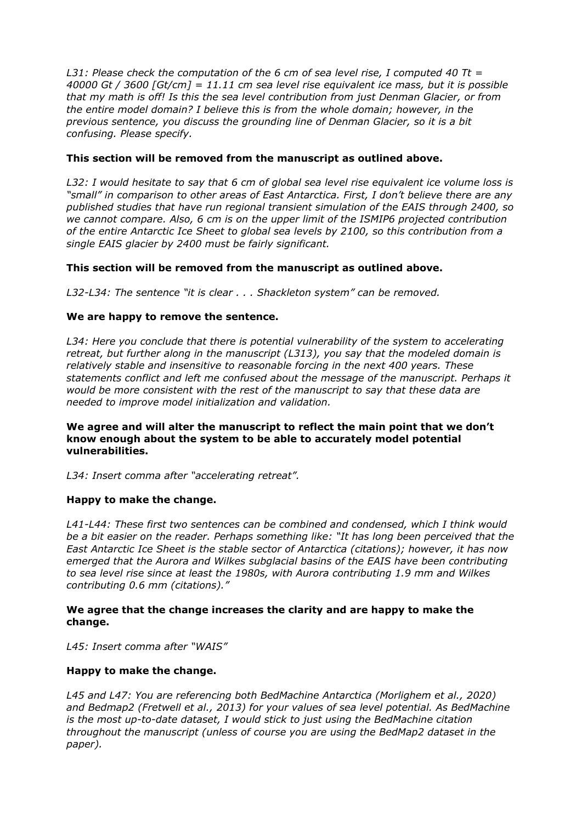*L31: Please check the computation of the 6 cm of sea level rise, I computed 40 Tt = 40000 Gt / 3600 [Gt/cm] = 11.11 cm sea level rise equivalent ice mass, but it is possible that my math is off! Is this the sea level contribution from just Denman Glacier, or from the entire model domain? I believe this is from the whole domain; however, in the previous sentence, you discuss the grounding line of Denman Glacier, so it is a bit confusing. Please specify.*

# **This section will be removed from the manuscript as outlined above.**

*L32: I would hesitate to say that 6 cm of global sea level rise equivalent ice volume loss is "small" in comparison to other areas of East Antarctica. First, I don't believe there are any published studies that have run regional transient simulation of the EAIS through 2400, so we cannot compare. Also, 6 cm is on the upper limit of the ISMIP6 projected contribution of the entire Antarctic Ice Sheet to global sea levels by 2100, so this contribution from a single EAIS glacier by 2400 must be fairly significant.*

# **This section will be removed from the manuscript as outlined above.**

*L32-L34: The sentence "it is clear . . . Shackleton system" can be removed.*

# **We are happy to remove the sentence.**

*L34: Here you conclude that there is potential vulnerability of the system to accelerating retreat, but further along in the manuscript (L313), you say that the modeled domain is relatively stable and insensitive to reasonable forcing in the next 400 years. These statements conflict and left me confused about the message of the manuscript. Perhaps it would be more consistent with the rest of the manuscript to say that these data are needed to improve model initialization and validation.*

## **We agree and will alter the manuscript to reflect the main point that we don't know enough about the system to be able to accurately model potential vulnerabilities.**

*L34: Insert comma after "accelerating retreat".*

## **Happy to make the change.**

*L41-L44: These first two sentences can be combined and condensed, which I think would be a bit easier on the reader. Perhaps something like: "It has long been perceived that the East Antarctic Ice Sheet is the stable sector of Antarctica (citations); however, it has now emerged that the Aurora and Wilkes subglacial basins of the EAIS have been contributing to sea level rise since at least the 1980s, with Aurora contributing 1.9 mm and Wilkes contributing 0.6 mm (citations)."*

# **We agree that the change increases the clarity and are happy to make the change.**

*L45: Insert comma after "WAIS"*

## **Happy to make the change.**

*L45 and L47: You are referencing both BedMachine Antarctica (Morlighem et al., 2020) and Bedmap2 (Fretwell et al., 2013) for your values of sea level potential. As BedMachine is the most up-to-date dataset, I would stick to just using the BedMachine citation throughout the manuscript (unless of course you are using the BedMap2 dataset in the paper).*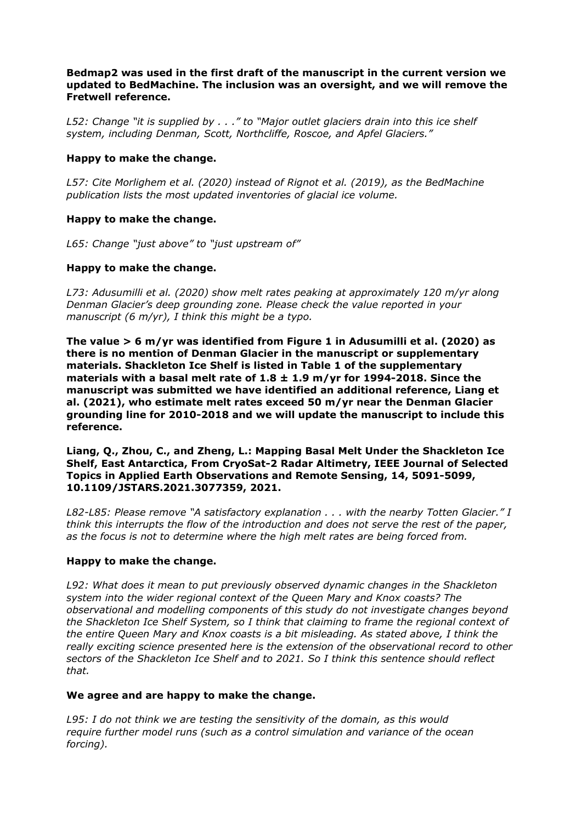# **Bedmap2 was used in the first draft of the manuscript in the current version we updated to BedMachine. The inclusion was an oversight, and we will remove the Fretwell reference.**

*L52: Change "it is supplied by . . ." to "Major outlet glaciers drain into this ice shelf system, including Denman, Scott, Northcliffe, Roscoe, and Apfel Glaciers."*

# **Happy to make the change.**

*L57: Cite Morlighem et al. (2020) instead of Rignot et al. (2019), as the BedMachine publication lists the most updated inventories of glacial ice volume.*

# **Happy to make the change.**

*L65: Change "just above" to "just upstream of"*

# **Happy to make the change.**

*L73: Adusumilli et al. (2020) show melt rates peaking at approximately 120 m/yr along Denman Glacier's deep grounding zone. Please check the value reported in your manuscript (6 m/yr), I think this might be a typo.*

**The value > 6 m/yr was identified from Figure 1 in Adusumilli et al. (2020) as there is no mention of Denman Glacier in the manuscript or supplementary materials. Shackleton Ice Shelf is listed in Table 1 of the supplementary materials with a basal melt rate of 1.8 ± 1.9 m/yr for 1994-2018. Since the manuscript was submitted we have identified an additional reference, Liang et al. (2021), who estimate melt rates exceed 50 m/yr near the Denman Glacier grounding line for 2010-2018 and we will update the manuscript to include this reference.**

**Liang, Q., Zhou, C., and Zheng, L.: Mapping Basal Melt Under the Shackleton Ice Shelf, East Antarctica, From CryoSat-2 Radar Altimetry, IEEE Journal of Selected Topics in Applied Earth Observations and Remote Sensing, 14, 5091-5099, 10.1109/JSTARS.2021.3077359, 2021.**

*L82-L85: Please remove "A satisfactory explanation . . . with the nearby Totten Glacier." I think this interrupts the flow of the introduction and does not serve the rest of the paper, as the focus is not to determine where the high melt rates are being forced from.*

## **Happy to make the change.**

*L92: What does it mean to put previously observed dynamic changes in the Shackleton system into the wider regional context of the Queen Mary and Knox coasts? The observational and modelling components of this study do not investigate changes beyond the Shackleton Ice Shelf System, so I think that claiming to frame the regional context of the entire Queen Mary and Knox coasts is a bit misleading. As stated above, I think the really exciting science presented here is the extension of the observational record to other sectors of the Shackleton Ice Shelf and to 2021. So I think this sentence should reflect that.*

## **We agree and are happy to make the change.**

*L95: I do not think we are testing the sensitivity of the domain, as this would require further model runs (such as a control simulation and variance of the ocean forcing).*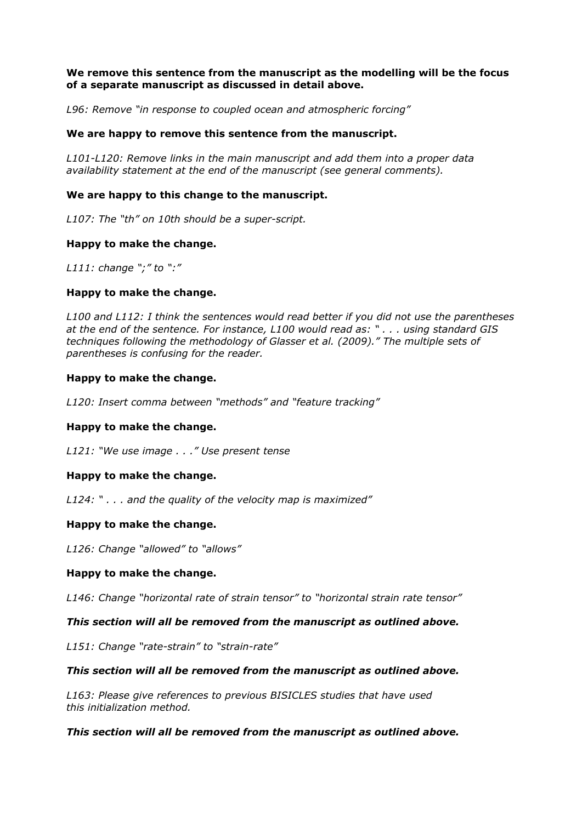# **We remove this sentence from the manuscript as the modelling will be the focus of a separate manuscript as discussed in detail above.**

*L96: Remove "in response to coupled ocean and atmospheric forcing"*

## **We are happy to remove this sentence from the manuscript.**

*L101-L120: Remove links in the main manuscript and add them into a proper data availability statement at the end of the manuscript (see general comments).*

## **We are happy to this change to the manuscript.**

*L107: The "th" on 10th should be a super-script.*

### **Happy to make the change.**

*L111: change ";" to ":"*

## **Happy to make the change.**

*L100 and L112: I think the sentences would read better if you did not use the parentheses at the end of the sentence. For instance, L100 would read as: " . . . using standard GIS techniques following the methodology of Glasser et al. (2009)." The multiple sets of parentheses is confusing for the reader.*

### **Happy to make the change.**

*L120: Insert comma between "methods" and "feature tracking"*

## **Happy to make the change.**

*L121: "We use image . . ." Use present tense*

## **Happy to make the change.**

*L124: " . . . and the quality of the velocity map is maximized"*

## **Happy to make the change.**

*L126: Change "allowed" to "allows"*

## **Happy to make the change.**

*L146: Change "horizontal rate of strain tensor" to "horizontal strain rate tensor"*

#### *This section will all be removed from the manuscript as outlined above.*

*L151: Change "rate-strain" to "strain-rate"*

#### *This section will all be removed from the manuscript as outlined above.*

*L163: Please give references to previous BISICLES studies that have used this initialization method.*

#### *This section will all be removed from the manuscript as outlined above.*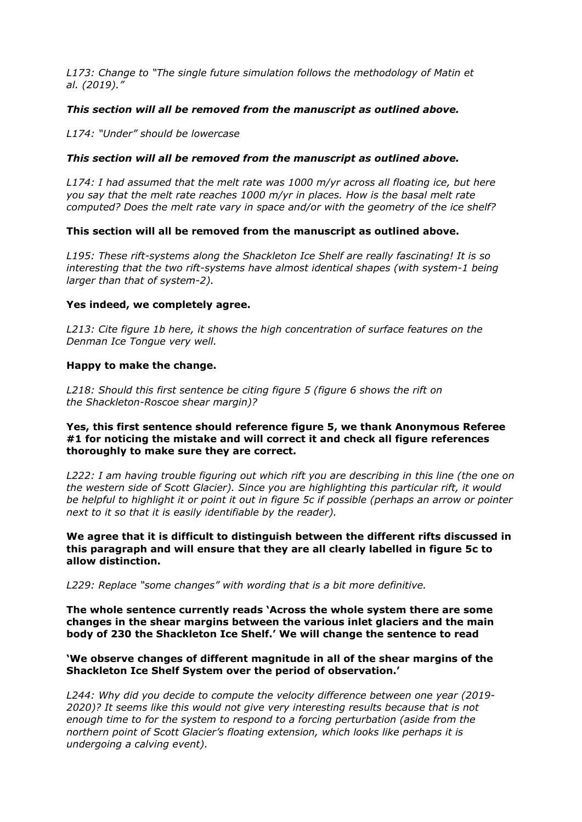*L173: Change to "The single future simulation follows the methodology of Matin et al. (2019)."*

## *This section will all be removed from the manuscript as outlined above.*

*L174: "Under" should be lowercase*

### *This section will all be removed from the manuscript as outlined above.*

*L174: I had assumed that the melt rate was 1000 m/yr across all floating ice, but here you say that the melt rate reaches 1000 m/yr in places. How is the basal melt rate computed? Does the melt rate vary in space and/or with the geometry of the ice shelf?*

### **This section will all be removed from the manuscript as outlined above.**

*L195: These rift-systems along the Shackleton Ice Shelf are really fascinating! It is so interesting that the two rift-systems have almost identical shapes (with system-1 being larger than that of system-2).*

### **Yes indeed, we completely agree.**

*L213: Cite figure 1b here, it shows the high concentration of surface features on the Denman Ice Tongue very well.*

### **Happy to make the change.**

*L218: Should this first sentence be citing figure 5 (figure 6 shows the rift on the Shackleton-Roscoe shear margin)?*

## **Yes, this first sentence should reference figure 5, we thank Anonymous Referee #1 for noticing the mistake and will correct it and check all figure references thoroughly to make sure they are correct.**

*L222: I am having trouble figuring out which rift you are describing in this line (the one on the western side of Scott Glacier). Since you are highlighting this particular rift, it would be helpful to highlight it or point it out in figure 5c if possible (perhaps an arrow or pointer next to it so that it is easily identifiable by the reader).*

**We agree that it is difficult to distinguish between the different rifts discussed in this paragraph and will ensure that they are all clearly labelled in figure 5c to allow distinction.**

*L229: Replace "some changes" with wording that is a bit more definitive.*

**The whole sentence currently reads 'Across the whole system there are some changes in the shear margins between the various inlet glaciers and the main body of 230 the Shackleton Ice Shelf.' We will change the sentence to read** 

## **'We observe changes of different magnitude in all of the shear margins of the Shackleton Ice Shelf System over the period of observation.'**

*L244: Why did you decide to compute the velocity difference between one year (2019- 2020)? It seems like this would not give very interesting results because that is not enough time to for the system to respond to a forcing perturbation (aside from the northern point of Scott Glacier's floating extension, which looks like perhaps it is undergoing a calving event).*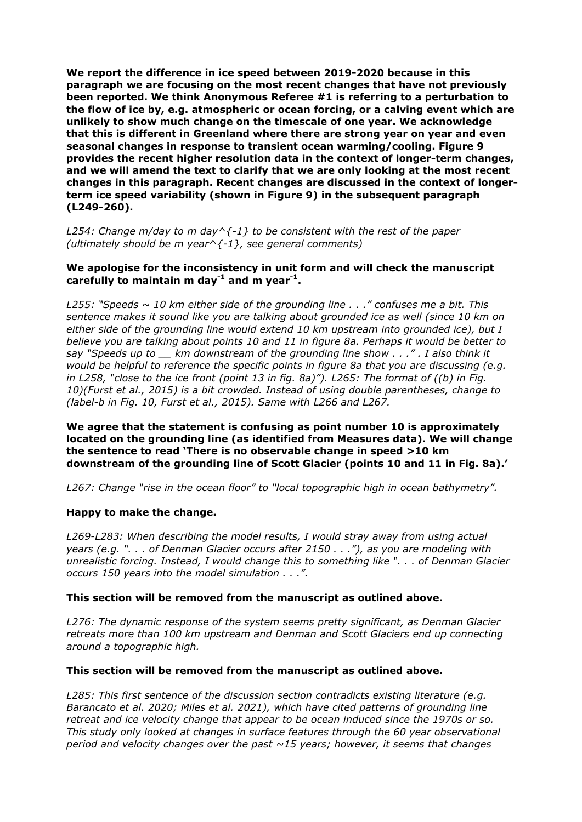**We report the difference in ice speed between 2019-2020 because in this paragraph we are focusing on the most recent changes that have not previously been reported. We think Anonymous Referee #1 is referring to a perturbation to the flow of ice by, e.g. atmospheric or ocean forcing, or a calving event which are unlikely to show much change on the timescale of one year. We acknowledge that this is different in Greenland where there are strong year on year and even seasonal changes in response to transient ocean warming/cooling. Figure 9 provides the recent higher resolution data in the context of longer-term changes, and we will amend the text to clarify that we are only looking at the most recent changes in this paragraph. Recent changes are discussed in the context of longerterm ice speed variability (shown in Figure 9) in the subsequent paragraph (L249-260).**

*L254: Change m/day to m day^{-1} to be consistent with the rest of the paper (ultimately should be m year^{-1}, see general comments)*

## **We apologise for the inconsistency in unit form and will check the manuscript carefully to maintain m day-1 and m year-1 .**

*L255: "Speeds ~ 10 km either side of the grounding line . . ." confuses me a bit. This sentence makes it sound like you are talking about grounded ice as well (since 10 km on either side of the grounding line would extend 10 km upstream into grounded ice), but I believe you are talking about points 10 and 11 in figure 8a. Perhaps it would be better to say "Speeds up to \_\_ km downstream of the grounding line show . . ." . I also think it would be helpful to reference the specific points in figure 8a that you are discussing (e.g. in L258, "close to the ice front (point 13 in fig. 8a)"). L265: The format of ((b) in Fig. 10)(Furst et al., 2015) is a bit crowded. Instead of using double parentheses, change to (label-b in Fig. 10, Furst et al., 2015). Same with L266 and L267.*

**We agree that the statement is confusing as point number 10 is approximately located on the grounding line (as identified from Measures data). We will change the sentence to read 'There is no observable change in speed >10 km downstream of the grounding line of Scott Glacier (points 10 and 11 in Fig. 8a).'**

*L267: Change "rise in the ocean floor" to "local topographic high in ocean bathymetry".*

## **Happy to make the change.**

*L269-L283: When describing the model results, I would stray away from using actual years (e.g. ". . . of Denman Glacier occurs after 2150 . . ."), as you are modeling with unrealistic forcing. Instead, I would change this to something like ". . . of Denman Glacier occurs 150 years into the model simulation . . .".*

## **This section will be removed from the manuscript as outlined above.**

*L276: The dynamic response of the system seems pretty significant, as Denman Glacier retreats more than 100 km upstream and Denman and Scott Glaciers end up connecting around a topographic high.*

#### **This section will be removed from the manuscript as outlined above.**

*L285: This first sentence of the discussion section contradicts existing literature (e.g. Barancato et al. 2020; Miles et al. 2021), which have cited patterns of grounding line retreat and ice velocity change that appear to be ocean induced since the 1970s or so. This study only looked at changes in surface features through the 60 year observational period and velocity changes over the past ~15 years; however, it seems that changes*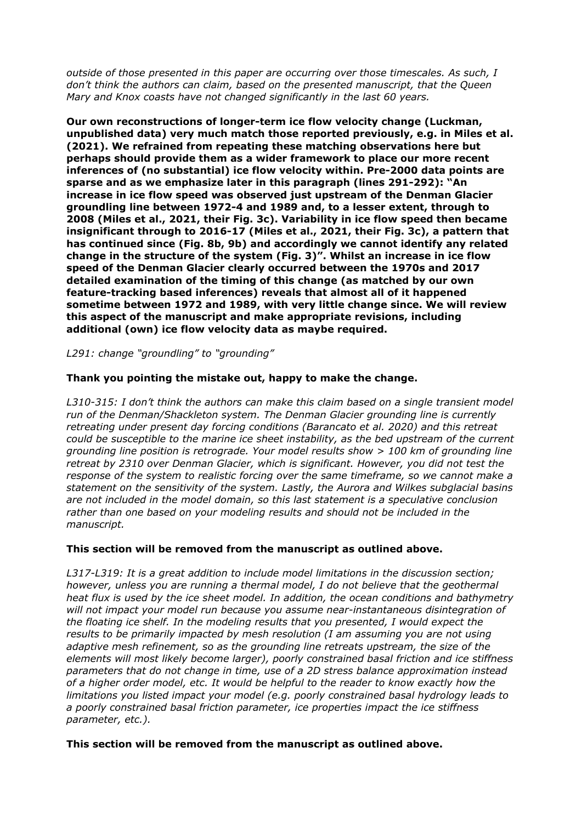*outside of those presented in this paper are occurring over those timescales. As such, I don't think the authors can claim, based on the presented manuscript, that the Queen Mary and Knox coasts have not changed significantly in the last 60 years.*

**Our own reconstructions of longer-term ice flow velocity change (Luckman, unpublished data) very much match those reported previously, e.g. in Miles et al. (2021). We refrained from repeating these matching observations here but perhaps should provide them as a wider framework to place our more recent inferences of (no substantial) ice flow velocity within. Pre-2000 data points are sparse and as we emphasize later in this paragraph (lines 291-292): "An increase in ice flow speed was observed just upstream of the Denman Glacier groundling line between 1972-4 and 1989 and, to a lesser extent, through to 2008 (Miles et al., 2021, their Fig. 3c). Variability in ice flow speed then became insignificant through to 2016-17 (Miles et al., 2021, their Fig. 3c), a pattern that has continued since (Fig. 8b, 9b) and accordingly we cannot identify any related change in the structure of the system (Fig. 3)". Whilst an increase in ice flow speed of the Denman Glacier clearly occurred between the 1970s and 2017 detailed examination of the timing of this change (as matched by our own feature-tracking based inferences) reveals that almost all of it happened sometime between 1972 and 1989, with very little change since. We will review this aspect of the manuscript and make appropriate revisions, including additional (own) ice flow velocity data as maybe required.**

*L291: change "groundling" to "grounding"*

# **Thank you pointing the mistake out, happy to make the change.**

*L310-315: I don't think the authors can make this claim based on a single transient model run of the Denman/Shackleton system. The Denman Glacier grounding line is currently retreating under present day forcing conditions (Barancato et al. 2020) and this retreat could be susceptible to the marine ice sheet instability, as the bed upstream of the current grounding line position is retrograde. Your model results show > 100 km of grounding line retreat by 2310 over Denman Glacier, which is significant. However, you did not test the response of the system to realistic forcing over the same timeframe, so we cannot make a statement on the sensitivity of the system. Lastly, the Aurora and Wilkes subglacial basins are not included in the model domain, so this last statement is a speculative conclusion rather than one based on your modeling results and should not be included in the manuscript.*

## **This section will be removed from the manuscript as outlined above.**

*L317-L319: It is a great addition to include model limitations in the discussion section; however, unless you are running a thermal model, I do not believe that the geothermal heat flux is used by the ice sheet model. In addition, the ocean conditions and bathymetry will not impact your model run because you assume near-instantaneous disintegration of the floating ice shelf. In the modeling results that you presented, I would expect the results to be primarily impacted by mesh resolution (I am assuming you are not using adaptive mesh refinement, so as the grounding line retreats upstream, the size of the elements will most likely become larger), poorly constrained basal friction and ice stiffness parameters that do not change in time, use of a 2D stress balance approximation instead of a higher order model, etc. It would be helpful to the reader to know exactly how the limitations you listed impact your model (e.g. poorly constrained basal hydrology leads to a poorly constrained basal friction parameter, ice properties impact the ice stiffness parameter, etc.).*

## **This section will be removed from the manuscript as outlined above.**